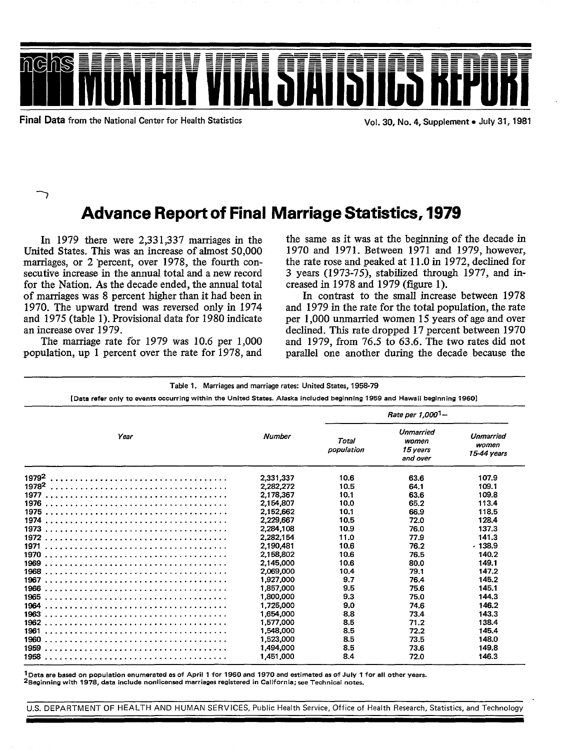

Final Data from the National Center for Health Statistics Vol. 30, No. 4, Supplement . July 31, 1981

 $\bigtriangledown$ 

# Advance Report of Final Marriage Statistics, 1979

In 1979 there were 2,331,337 marriages in the United States. This was an increase of ahnost 50,000 marriages, or 2 'percent, over 1978, the fourth consecutive increase in the annual total and a new record for the Nation. As the decade ended, the annual total of marriages was 8 percent higher than it had been in 1970. The upward trend was reversed only in 1974 and 1975 (table 1). Provisional data for 1980 indicate an increase over 1979.

The marriage rate for 1979 was 10.6 per 1,000 population, up 1 percent over the rate for 1978, and

the same as it was at the beginning of the decade in 1970 and 1971. Between 1971 and 1979, however, the rate rose and peaked at 11.0 in 1972, declined for 3 years (1973-75), stabilized through 1977, and increased in 1978 and 1979 (figure 1).

In contrast to the small increase between 1978 and 1979 in the rate for the total population, the rate per 1,000 unmarried women 15 years of age and over declined. This rate dropped 17 percent between 1970 and 1979, from 76.5 to 63.6. The two rates did not parallel one another during the decade because the

**Table 1. Marriages and marriage rates: United States, 1958-79** 

[Data rafer only to evants occurring within the United States. Alaska included beginning 1959 and Hawaii beginning 19601

|                   |               | Rate per 1,000 <sup>1</sup> - |                                            |                                   |  |  |  |
|-------------------|---------------|-------------------------------|--------------------------------------------|-----------------------------------|--|--|--|
| Year              | <b>Number</b> | Total<br>population           | Unmarried<br>women<br>15 years<br>and over | Unmarried<br>women<br>15-44 years |  |  |  |
| 1979 <sup>2</sup> | 2.331.337     | 10.6                          | 63.6                                       | 107.9                             |  |  |  |
| 1978 <sup>2</sup> | 2,282,272     | 10.5                          | 64.1                                       | 109.1                             |  |  |  |
| 1977              | 2,178,367     | 10.1                          | 63.6                                       | 109.8                             |  |  |  |
| 1976              | 2,154,807     | 10.0                          | 65.2                                       | 113.4                             |  |  |  |
|                   | 2,152,662     | 10.1                          | 66.9                                       | 118.5                             |  |  |  |
|                   | 2,229,667     | 10.5                          | 72.0                                       | 128.4                             |  |  |  |
|                   | 2,284,108     | 10.9                          | 76.0                                       | 137.3                             |  |  |  |
|                   | 2,282,154     | 11.0                          | 77.9                                       | 141.3                             |  |  |  |
| 1971              | 2.190.481     | 10.6                          | 76.2                                       | .138.9                            |  |  |  |
|                   | 2,158,802     | 10.6                          | 76.5                                       | 140.2                             |  |  |  |
| 1969              | 2.145.000     | 10.6                          | 80.0                                       | 149.1                             |  |  |  |
|                   | 2.069.000     | 10.4                          | 79.1                                       | 147.2                             |  |  |  |
| 1967              | 1.927.000     | 9.7                           | 76.4                                       | 145.2                             |  |  |  |
|                   | 1.857.000     | 9.5                           | 75.6                                       | 145.1                             |  |  |  |
| 1965              | 1,800,000     | 9.3                           | 75.0                                       | 144.3                             |  |  |  |
| 1964              | 1.725,000     | 9.0                           | 74.6                                       | 146.2                             |  |  |  |
| 1963              | 1,654,000     | 8.8                           | 73.4                                       | 143.3                             |  |  |  |
|                   | 1.577.000     | 8.5                           | 71.2                                       | 138.4                             |  |  |  |
| 1961              | 1,548,000     | 8.5                           | 72.2                                       | 145.4                             |  |  |  |
|                   | 1.523.000     | 8.5                           | 73.5                                       | 148.0                             |  |  |  |
|                   | 1.494.000     | 8.5                           | 73.6                                       | 149.8                             |  |  |  |
|                   | 1,451,000     | 8.4                           | 72.0                                       | 146.3                             |  |  |  |

 $1$ Data are based on population enumerated as of April 1 for 1960 and 1970 and estimated as of July 1 for all other years. <sup>2</sup>Beginning with 1978, data include nonlicensed marriages registered in California; see Technical notes.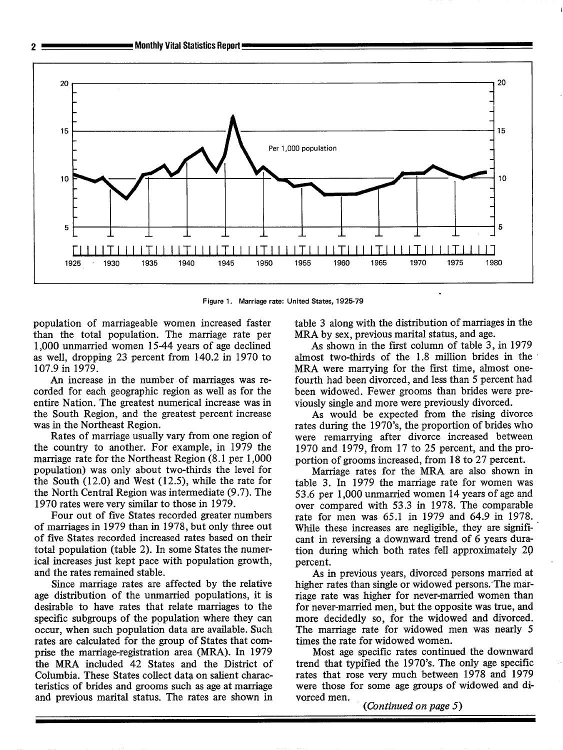

**Figure 1. Marriage rate: United States, 1925-79** 

population of marriageable women increased faster than the total population. The marriage rate per 1,000 unmarried women 15-44 years of age declined as well, dropping 23 percent from 140.2 in 1970 to 107.9 in 1979.

An increase in the number of marriages was recorded for each geographic region as well as for the entire Nation. The greatest numerical increase was in the South Region, and the greatest percent increase was in the Northeast Region.

Rates of marriage usually vary from one region of the country to another. For example, in 1979 the marriage rate for the Northeast Region (8. 1 per 1,000 population) was only about two-thirds the level for the South (12.0) and West (12.5), while the rate for the North Central Region was intermediate (9.7). The 1970 rates were very similar to those in 1979.

Four out of five States recorded greater numbers of marriages in 1979 than in 1978, but only three out of five States recorded increased rates based on their total population (table 2). In some States the numerical increases just kept pace with population growth, and the rates remained stable.

Since marriage rates are affected by the relative age distribution of the unmarried populations, it is desirable to have rates that relate marriages to the specific subgroups of the population where they can occur, when such population data are available. Such rates are calculated for the group of States that comprise the marriage-registration area (MRA). In 1979 the MRA included 42 States and the District of Columbia. These States collect data on salient characteristics of brides and grooms such as age at marriage and previous marital status. The rates are shown in

table 3 along with the distribution of marriages in the MRA by sex, previous marital status, and age.

I

As shown in the first column of table 3, in 1979 almost two-thirds of the 1.8 million brides in the MRA were marrying for the first time, ahnost onefourth had been divorced, and less than 5 percent had been widowed. Fewer grooms than brides were previously single and more were previously divorced.

As would be expected from the rising divorce rates during the 1970's, the proportion of brides who were remarrying after divorce increased between 1970 and 1979, from 17 to 25 percent, and the proportion of grooms increased, from 18 to 27 percent.

Marriage rates for the MRA are also shown in table 3. In 1979 the marriage rate for women was 53.6 per 1,000 unmarried women 14 years of age and over compared with 53.3 in 1978. The comparable rate for men was 65.1 in 1979 and 64.9 in 1978. While these increases are negligible, they are significant in reversing a downward trend of 6 years duration during which both rates fell approximately 20 percent.

As in previous years, divorced persons married at higher rates than single or widowed persons. The marriage rate was higher for never-married women than for never-married men, but the opposite was true, and more decidedly so, for the widowed and divorced. The marriage rate for widowed men was nearly 5 times the rate for widowed women.

Most age specific rates continued the downward trend that typified the 1970's. The only age specific rates that rose very much between 1978 and 1979 were those for some age groups of widowed and divorced men.

*(Continued on page 5)*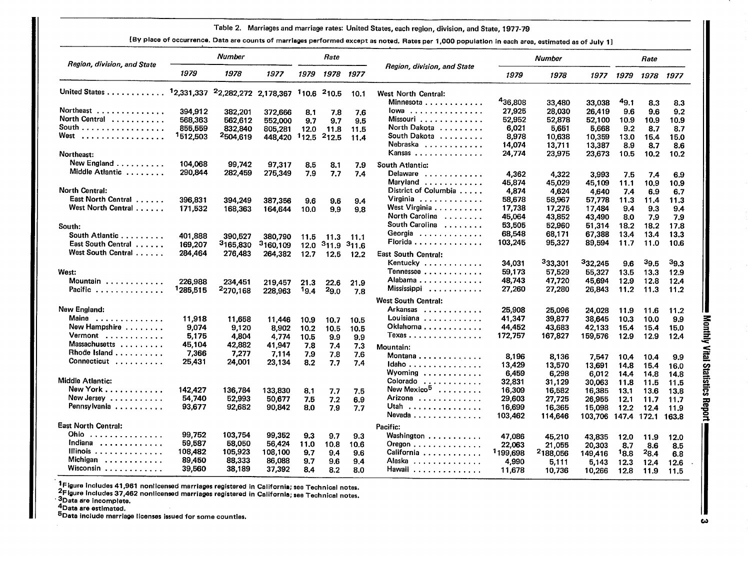#### **Table 2. Marriages and marriage rates United States, each region, division, and State, 1977-79**

**[BY place of occurrence. Data ara counts of marriagas performed except as noted. Rates per 1,000 population in each araa, estimated as of July 11** 

| Region, division, and State                               |          | Number   |          |       | Rate       |       | <b>Number</b>               |                      |                    | Rate              |             |                  |             |
|-----------------------------------------------------------|----------|----------|----------|-------|------------|-------|-----------------------------|----------------------|--------------------|-------------------|-------------|------------------|-------------|
|                                                           | 1979     | 1978     | 1977     | 1979  | 1978       | 1977  | Region, division, and State | 1979                 | 1978               | 1977              | 1979        |                  | 1978 1977   |
| United States 12,331,337 22,282,272 2,178,367 110.6 210.5 |          |          |          |       |            | 10.1  | <b>West North Central:</b>  |                      |                    |                   |             |                  |             |
|                                                           |          |          |          |       |            |       | Minnesota                   | 436,808              | 33,480             | 33,038            | 49.1        | 8.3              | 8.3         |
| Northeast                                                 | 394,912  | 382,201  | 372.666  | 8.1   | 7.8        | 7.6   | lowa                        | 27,925               | 28,030             | 26,419            | 9.6         | 9.6              | 9.2         |
| North Central                                             | 568.363  | 562,612  | 552,000  | 9.7   | 9.7        | 9.5   | Missouri                    | 52,952               | 52,878             | 52,100            | 10.9        | 10.9             | 10.9        |
| South                                                     | 855,559  | 832.840  | 805,281  | 12.0  | 11.8       | 11.5  | North Dakota                | 6.021                | 5.651              | 5,668             | 9.2         | 8.7              | 8.7         |
| West<br>. <b>.</b>                                        | '512,503 | 2504,619 | 448,420  | 112.5 | $^{2}12.5$ | 11.4  | South Dakota                | 8,978                | 10,638             | 10,359            | 13.0        | 15.4             | 15.0        |
|                                                           |          |          |          |       |            |       | Nebraska                    | 14,074               | 13,711             | 13,387            | 8.9         | 8.7              | 8.6         |
| Northeast:                                                |          |          |          |       |            |       | Kansas                      | 24,774               | 23,975             | 23,673            | 10.5        | 10.2             | 10.2        |
| New England                                               | 104.068  | 99,742   | 97,317   | 8.5   | 8.1        | 7.9   | South Atlantic:             |                      |                    |                   |             |                  |             |
| Middle Atlantic                                           | 290.844  | 282,459  | 275,349  | 7.9   | 7.7        | 7.4   | Delaware                    | 4,362                |                    |                   |             |                  |             |
|                                                           |          |          |          |       |            |       | Maryland                    | 45.874               | 4,322              | 3,993             | 7.5         | 7.4              | 6.9         |
| <b>North Central:</b>                                     |          |          |          |       |            |       | District of Columbia        | 4,874                | 45,029             | 45,109            | 11.1        | 10.9             | 10.9        |
| <b>East North Central</b>                                 |          |          |          |       |            |       | Virginia                    | 58,678               | 4,624              | 4,640             | 7.4         | 6.9              | 6.7         |
| <br>West North Central                                    | 396,831  | 394.249  | 387,356  | 9.6   | 9.6        | 9.4   | West Virginia               |                      | 58,967             | 57,778            | 11.3        | 11.4             | 11.3        |
|                                                           | 171.532  | 168.363  | 164,644  | 10.0  | 9.9        | 9.8   | North Carolina              | 17,738               | 17,275             | 17,484            | 9.4         | 9.3              | 9,4         |
|                                                           |          |          |          |       |            |       | South Carolina              | 45,064               | 43,852             | 43,490            | 8.0         | 7.9              | 7.9         |
| South:                                                    |          |          |          |       |            |       |                             | 53,505               | 52,960             | 51,314            | 18.2        | 18.2             | 17.8        |
| South Atlantic                                            | 401,888  | 390,527  | 380.790  | 11.5  | 11.3       | 11.1  | Georgia                     | 68,548               | 68,171             | 67,388            | 13.4        | 13.4             | 13.3        |
| East South Central                                        | 169,207  | 3165,830 | 3160,109 | 12.0  | 311.9      | 311,6 | Florida                     | 103.245              | 95,327             | 89,594            | 11.7        | 11.0             | 10.6        |
| West South Central                                        | 284,464  | 276,483  | 264,382  | 12.7  | 12,5       | 12.2  | East South Central:         |                      |                    |                   |             |                  |             |
|                                                           |          |          |          |       |            |       | Kentucky                    | 34,031               | 333,301            | 332,245           | 9.6         | 39.5             | 39.3        |
| West:                                                     |          |          |          |       |            |       | Tennessee                   | 59,173               | 57,529             | 55,327            | 13.5        | 13,3             | 12.9        |
| Mountain                                                  | 226,988  | 234,451  | 219,457  | 21.3  | 22.6       | 21.9  | Alabama                     | 48,743               | 47,720             | 45,694            | 12.9        | 12.8             | 12.4        |
| Pacific                                                   | 1285,515 | 2270,168 | 228,963  | 19.4  | $^{29.0}$  | 7.8   | Mississippi                 | 27,260               | 27,280             | 26,843            | 11.2        | 11.3             | 11.2        |
|                                                           |          |          |          |       |            |       | <b>West South Central:</b>  |                      |                    |                   |             |                  |             |
|                                                           |          |          |          |       |            |       |                             |                      |                    |                   |             |                  |             |
| New England:                                              |          |          |          |       |            |       | Arkansas<br>Louisiana       | 25,908               | 25,096             | 24,028            | 11.9        | 11.6             | 11.2        |
| Maine<br>. <i>. .</i> .                                   | 11,918   | 11.658   | 11,446   | 10.9  | 10.7       | 10.5  |                             | 41,347               | 39,877             | 38,645            | 10.3        | 10.0             | 9.9         |
| New Hampshire                                             | 9,074    | 9,120    | 8,902    | 10.2  | 10.5       | 10.5  | Oklahoma                    | 44,452               | 43,683             | 42,133            | 15.4        | 15.4             | 15.0        |
| Vermont                                                   | 5,175    | 4,804    | 4,774    | 10.5  | 9.9        | 9.9   | Texas                       | 172,757              | 167,827            | 159,576           | 12.9        | 12.9             | 12.4        |
| Massachusetts                                             | 45,104   | 42,882   | 41,947   | 7.8   | 7.4        | 7.3   | Mountain:                   |                      |                    |                   |             |                  |             |
| Rhode Island                                              | 7,366    | 7,277    | 7,114    | 7.9   | 7.8        | 7.6   | Montana                     | 8,196                | 8,136              | 7.547             | 10.4        | 10.4             | 9.9         |
| Connecticut                                               | 25,431   | 24,001   | 23,134   | 8.2   | 7.7        | 7.4   | Idaho                       | 13,429               | 13,570             | 13,691            | 14.8        | 15.4             | 16.0        |
|                                                           |          |          |          |       |            |       | Wyoming                     | 6.459                | 6,298              | 6,012             | 14.4        | 14.8             | 14.8        |
| Middle Atlantic:                                          |          |          |          |       |            |       | Colorado                    | 32,831               | 31.129             | 30,063            | 11.8        | 11.5             | 11.5        |
| New York                                                  | 142,427  | 136,784  | 133,830  | 8.1   | 7.7        | 7.5   | New Mexico <sup>5</sup>     | 16,309               | 16.582             | 16,385            | 13.1        | 13.6             | 13.8        |
| New Jersey                                                | 54,740   | 52,993   | 50,677   | 7.5   | 7.2        | 6.9   | Arizona                     | 29,603               | 27,725             | 26,955            | 12.1        | 11.7             | 11.7        |
| Pennsylvania                                              | 93,677   | 92,682   | 90,842   | 8.0   | 7.9        | 7.7   | Utah $\ldots \ldots \ldots$ | 16,699               | 16,365             | 15,098            | 12.2        | 12.4             | 11.9        |
|                                                           |          |          |          |       |            |       | Nevada                      | 103,462              | 114,646            | 103.706           | 147.4       | 172.1            | 163.8       |
| <b>East North Central:</b>                                |          |          |          |       |            |       | Pacific:                    |                      |                    |                   |             |                  |             |
| Ohio<br>. <i>.</i>                                        | 99.752   | 103,754  | 99,352   | 9,3   | 9.7        | 9.3   | Washington                  | 47,086               |                    |                   |             |                  |             |
| Indiana                                                   | 59,587   | 58,050   | 56,424   | 11.0  | 10.8       | 10.6  | Oregon                      | 22.063               | 45,210             | 43,835            | 12.0        | 11.9             | 12.0        |
| Illinois                                                  | 108,482  | 105,923  | 108,100  | 9.7   | 9.4        | 9.6   | California                  | <sup>1</sup> 199,698 | 21,055<br>2188,056 | 20,303<br>149,416 | 8.7<br>18.8 | 8.6<br>$^{28.4}$ | 8.5         |
| Michigan                                                  | 89,450   | 88,333   | 86,088   | 9.7   | 9.6        | 9.4   | Alaska                      | 4,990                | 5.111              | 5,143             | 12.3        | 12.4             | 6.8<br>12.6 |
| Wisconsin                                                 | 39.560   | 38,189   | 37,392   | 8.4   | 8.2        | 8.0   | Hawaii                      | 11,678               | 10.736             | 10,266            | 12.8        | 11.9             | 11.5        |
|                                                           |          |          |          |       |            |       |                             |                      |                    |                   |             |                  |             |

\*Figure includes 41,961 nonlicensed marriages registered in California; see Technical notes.<br>2Figure includes 37,462 nonlicensed marriages registered in California; see Technical notes.<br>3Data are incomplete. es 41,961 nonlicensed marriages registered in California; see Technical notes.<br>es 37,462 nonlicensed marriages registered in California; see Technical notes.<br>mplete.<br>marriage licenses issued for some countles.

**4Data era estimated,** 

**5Data include marriage licenses issued for some counties.**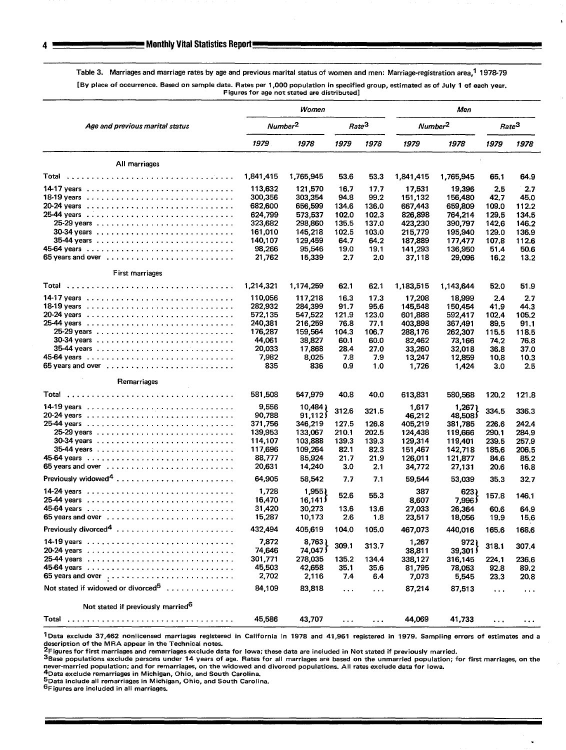Table 3. Marriages and marriage rates by age and previous marital status of women and men: Marriage-registration area,<sup>1</sup> 1978-79

[By place of occurrence. Based on sample data. Rates per 1,000 population in specified group, estimated as of July 1 of each year. Figures for age not stated are distributed]

|                                                                             | Women            |                     |                      |                   | Men                 |                  |                   |              |  |  |
|-----------------------------------------------------------------------------|------------------|---------------------|----------------------|-------------------|---------------------|------------------|-------------------|--------------|--|--|
| Age and previous marital status                                             |                  | Number <sup>2</sup> |                      | Rate <sup>3</sup> | Number <sup>2</sup> |                  | Rate <sup>3</sup> |              |  |  |
|                                                                             | 1979             | 1978                | 1979                 | 1978              | 1979                | 1978             | 1979              | 1978         |  |  |
| All marriages                                                               |                  |                     |                      |                   |                     |                  |                   |              |  |  |
| Total                                                                       | 1,841,415        | 1,765,945           | 53.6                 | 53.3              | 1,841,415           | 1,765,945        | 65.1              | 64.9         |  |  |
|                                                                             | 113,632          | 121,570             | 16.7                 | 17.7              | 17,531              | 19,396           | 2.5               | 2.7          |  |  |
|                                                                             | 300,356          | 303,354             | 94.8                 | 99.2              | 151,132             | 156,480          | 42.7              | 45.0         |  |  |
|                                                                             | 682,600          | 656,599             | 134.6                | 136.0             | 667,443             | 659,809          | 109.0             | 112.2        |  |  |
|                                                                             | 624,799          | 573.537             | 102.0                | 102,3             | 826,898             | 764,214          | 129.5             | 134.5        |  |  |
|                                                                             | 323,682          | 298,860             | 135.5                | 137.0             | 423,230             | 390,797          | 142,6             | 146.2        |  |  |
|                                                                             | 161,010          | 145,218             | 102.5                | 103.0             | 215.779             | 195,940          | 129.0             | 136.9        |  |  |
|                                                                             | 140,107          | 129,459             | 64.7                 | 64.2              | 187,889             | 177,477          | 107.8             | 112.6        |  |  |
|                                                                             | 98,266           | 95,546              | 19.0                 | 19.1              | 141,293             | 136,950          | 51.4              | 50.6         |  |  |
| 65 years and over $\dots\dots\dots\dots\dots\dots\dots\dots\dots\dots\dots$ | 21,762           | 15,339              | 2.7                  | 2.0               | 37,118              | 29,096           | 16.2              | 13.2         |  |  |
| First marriages                                                             |                  |                     |                      |                   |                     |                  |                   |              |  |  |
|                                                                             | 1,214,321        | 1,174,259           | 62.1                 | 62.1              | 1,183,515           | 1,143,644        | 52.0              | 51.9         |  |  |
|                                                                             | 110,056          | 117,218             | 16.3                 | 17.3              | 17,208              | 18,999           | 2.4               | 2.7          |  |  |
|                                                                             | 282,932          | 284,399             | 91.7                 | 95.6              | 145,548             | 150,454          | 41.9              | 44.3         |  |  |
|                                                                             | 572,135          | 547,522             | 121.9                | 123.0             | 601,888             | 592,417          | 102.4             | 105.2        |  |  |
|                                                                             | 240,381          | 216,259             | 76.8                 | 77.1              | 403,898             | 367,491          | 89.5              | 91,1         |  |  |
|                                                                             | 176,287          | 159,564             | 104.3                | 106.7             | 288,176             | 262,307          | 115.5             | 118.5        |  |  |
|                                                                             | 44,061           | 38,827              | 60.1                 | 60.0              | 82,462              | 73,166           | 74.2              | 76.8         |  |  |
|                                                                             | 20,033           | 17,868              | 28.4                 | 27.0              | 33,260              | 32,018           | 36.8              | 37.0         |  |  |
|                                                                             | 7,982            | 8,025               | 7.8                  | 7.9               | 13,247              | 12,859           | 10.8              | 10.3         |  |  |
|                                                                             | 835              | 836                 | 0.9                  | 1.0               | 1,726               | 1,424            | 3,0               | 2.5          |  |  |
| Remarriages                                                                 |                  |                     |                      |                   |                     |                  |                   |              |  |  |
| Total                                                                       | 581,508          | 547,979             | 40.8                 | 40.0              | 613,831             | 580,568          | 120.2             | 121.8        |  |  |
|                                                                             | 9,556            | 10,484)             | 312.6                | 321.5             | 1,617               | 1,267)           | 334.5             | 336.3        |  |  |
|                                                                             | 90,788           | 91,112              |                      |                   | 46,212              | 48,508)          |                   |              |  |  |
|                                                                             | 371,756          | 346,219             | 127.5                | 126.8             | 405,219             | 381,785          | 226.6             | 242.4        |  |  |
|                                                                             | 139,953          | 133,067             | 210.1                | 202.5             | 124,438             | 119,666          | 290.1             | 284,9        |  |  |
|                                                                             | 114,107          | 103,888             | 139.3                | 139.3             | 129,314             | 119,401          | 239.5             | 257.9        |  |  |
|                                                                             | 117,696          | 109,264             | 82.1                 | 82.3              | 151,467             | 142,718          | 185,6             | 206.5        |  |  |
|                                                                             | 88,777           | 85,924              | 21.7                 | 21.9              | 126,011             | 121,877          | 84.6              | 85,2         |  |  |
| 65 years and over $\ldots \ldots \ldots \ldots \ldots \ldots$               | 20,631           | 14,240              | 3.0                  | 2.1               | 34,772              | 27,131           | 20.6              | 16.8         |  |  |
|                                                                             | 64,905           | 58,542              | 7.7                  | 7.1               | 59,544              | 53,039           | 35.3              | 32.7         |  |  |
|                                                                             | 1,728            | 1,955)              | 52.6                 | 55.3              | 387                 | 623)             | 157.8             | 146.1        |  |  |
|                                                                             | 16,470           | 16,141              |                      |                   | 8,607               | ا 7,996          |                   |              |  |  |
|                                                                             | 31,420<br>15,287 | 30,273<br>10,173    | 13.6<br>2.6          | 13.6<br>1.8       | 27,033<br>23,517    | 26,364<br>18,056 | 60.6<br>19.9      | 64.9<br>15.6 |  |  |
| Previously divorced <sup>4</sup>                                            | 432,494          | 405,619             | 104.0                | 105.0             | 467,073             | 440,016          | 165.6             | 168.6        |  |  |
|                                                                             | 7,872            | 8,763               |                      |                   | 1,267               | 972)             |                   |              |  |  |
|                                                                             | 74,646           | 74,047 }            | 309.1                | 313.7             | 38,811              | 39,301           | 318.1             | 307.4        |  |  |
|                                                                             | 301,771          | 278,035             | 135.2                | 134.4             | 338,127             | 316,145          | 224.1             | 236.6        |  |  |
|                                                                             | 45,503           | 42,658              | 35.1                 | 35.6              | 81,795              | 78,053           | 92.8              | 89.2         |  |  |
| 65 years and over [                                                         | 2,702            | 2,116               | 7.4                  | 6.4               | 7,073               | 5,545            | 23.3              | 20.8         |  |  |
| Not stated if widowed or divorced <sup>5</sup>                              | 84,109           | 83,818              | $\sim$ $\sim$ $\sim$ | $\cdots$          | 87,214              | 87,513           | $\ddotsc$         | $\cdots$     |  |  |
| Not stated if previously married <sup>6</sup>                               |                  |                     |                      |                   |                     |                  |                   |              |  |  |
| Total                                                                       | 45,586           | 43,707              | $\ldots$             | $\cdots$          | 44,069              | 41,733           | $\cdots$          | $\cdots$     |  |  |
|                                                                             |                  |                     |                      |                   |                     |                  |                   |              |  |  |

1Data exclude 37,462 nonlicensed marriages registered in California in 1978 and 41,961 registered in 1979. Sampling errors of estimates and a description of the MRA appear in the Technical notes.<br><sup>2</sup>Figures for first marriages and remarriages exclude data for Iowa; these data are included in Not stated if previously married

3Base populations exclude persons under 14 years of age. Rates for all marriages are based on the unmarried population; for first marriages, on the never-married population; and for remarriages, on the widowed and divorced populations. All rates exclude data for Iowa.<br><sup>4</sup>Data exclude remarriages in Michigan, Ohio, and South Carolina.

.

5Data include all remarriages in Michigan, Ohio, and South Carolina.

 $6F$ igures are included in all marriages.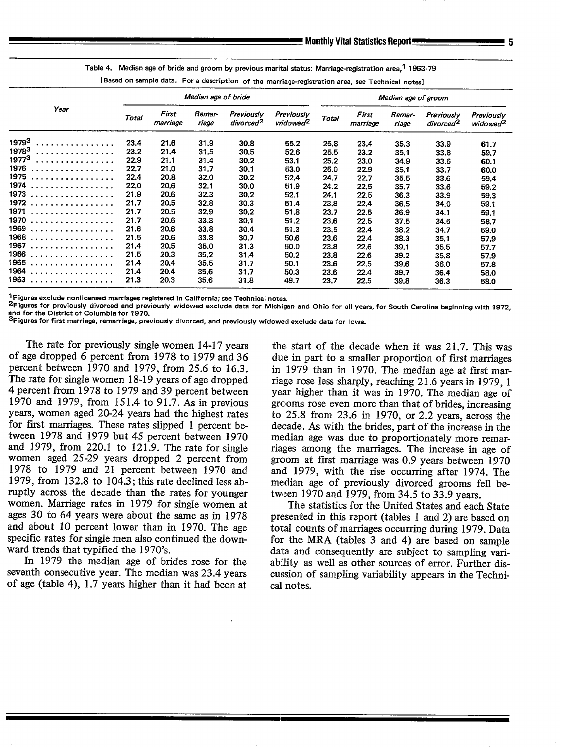Table 4. Median age of bride and groom by previous marital status: Marriage-registration area.<sup>1</sup> 1963-79

**[Basad on** sample data. For a description of the marriage-registration area, see Technical notes]

|                          | Median age of bride |                   |                 |                                     |                                    |              |                   |                 |                                     |                                    |
|--------------------------|---------------------|-------------------|-----------------|-------------------------------------|------------------------------------|--------------|-------------------|-----------------|-------------------------------------|------------------------------------|
| Year                     | <b>Total</b>        | First<br>marriage | Remar-<br>riage | Previously<br>divorced <sup>2</sup> | Previously<br>widowed <sup>2</sup> | <b>Total</b> | First<br>marriage | Remar-<br>riage | Previously<br>divorced <sup>2</sup> | Previously<br>widowed <sup>2</sup> |
| 19793<br>.               | 23.4                | 21.6              | 31.9            | 30.8                                | 55.2                               | 25.8         | 23.4              | 35.3            | 33.9                                | 61.7                               |
| 19783<br>. <i>.</i>      | 23.2                | 21.4              | 31.5            | 30.5                                | 52.6                               | 25.5         | 23.2              | 35.1            | 33.8                                | 59.7                               |
| 19773<br>.               | 22.9                | 21.1              | 31.4            | 30.2                                | 53.1                               | 25.2         | 23.0              | 34.9            | 33.6                                | 60.1                               |
| 1976<br>.                | 22.7                | 21.0              | 31.7            | 30.1                                | 53.0                               | 25.0         | 22.9              | 35.1            | 33.7                                | 60.0                               |
| 1975<br>. <i>.</i> .     | 22.4                | 20.8              | 32.0            | 30.2                                | 52,4                               | 24.7         | 22.7              | 35.5            | 33.6                                | 59.4                               |
| 1974<br>. <i>. .</i>     | 22.0                | 20.6              | 32.1            | 30.0                                | 51.9                               | 24.2         | 22.5              | 35.7            | 33.6                                | 59.2                               |
| 1973<br>.                | 21.9                | 20.6              | 32.3            | 30.2                                | 52.1                               | 24.1         | 22.5              | 36.3            | 33.9                                | 59.3                               |
| 1972<br>.                | 21.7                | 20.5              | 32.8            | 30.3                                | 51.4                               | 23.8         | 22.4              | 36.5            | 34.0                                | 59.1                               |
| 1971<br>. <i>. . .</i> . | 21.7                | 20.5              | 32.9            | 30.2                                | 51.8                               | 23.7         | 22.5              | 36.9            | 34.1                                | 59.1                               |
| 1970<br>.                | 21.7                | 20.6              | 33.3            | 30.1                                | 51.2                               | 23.6         | 22.5              | 37.5            | 34.5                                | 58.7                               |
| 1969<br>. <i>.</i> .     | 21.6                | 20.6              | 33.8            | 30.4                                | 51.3                               | 23.5         | 22.4              | 38.2            | 34.7                                | 59.0                               |
| 1968<br>. <i>.</i>       | 21.5                | 20.6              | 33.8            | 30.7                                | 50.6                               | 23.6         | 22.4              | 38.3            | 35.1                                | 57.9                               |
| 1967<br>. <i>.</i>       | 21.4                | 20.5              | 35.0            | 31.3                                | 50.0                               | 23.8         | 22.6              | 39.1            | 35.5                                | 57.7                               |
| 1966<br>.                | 21.5                | 20.3              | 35.2            | 31.4                                | 50.2                               | 23.8         | 22.6              | 39.2            | 35.8                                | 57.9                               |
| 1965<br>. . <i>.</i> .   | 21.4                | 20.4              | 35.5            | 31.7                                | 50.1                               | 23.6         | 22.5              | 39.6            | 36.0                                | 57.8                               |
| 1964<br>.                | 21.4                | 20,4              | 35.6            | 31.7                                | 50.3                               | 23.6         | 22.4              | 39.7            | 36.4                                | 58.0                               |
| 1963                     | 21.3                | 20.3              | 35.6            | 31.8                                | 49.7                               | 23.7         | 22.5              | 39.8            | 36.3                                | 58.0                               |

<sup>1</sup>Figures exclude nonlicensed marriages registered in California; see Technical notes.

 $^{\sf 2}$ Figures for previously divorced and previously widowed exclude data for Michigan and Ohio for all years, for South Carolina beginning with 19

and for the District of Columbia for 1970.<br><sup>3</sup>Figures for first marriage, remarriage, previously divorced, and previously widowed exclude data for lowa.

The rate for previously single women 14-17 years of age dropped 6 percent from 1978 to 1979 and 36 percent between 1970 and 1979, from 25.6 to 16.3. The rate for single women 18-19 years of age dropped 4 percent from 1978 to 1979 and 39 percent between 1970 and 1979, from 151.4 t091.7. As in previous years, women aged 20-24 years had the highest rates for first marriages. These rates slipped 1 percent between 1978 and 1979 but 45 percent between 1970 and 1979, from 220.1 to 121.9. The rate for single women aged 25-29 years dropped 2 percent from 1978 to 1979 and 21 percent between 1970 and 1979, from 132.8 to 104.3; this rate declined less abruptly across the decade than the rates for younger women. Marriage rates in 1979 for single women at ages 30 to 64 years were about the same as in 1978 and about 10 percent lower than in 1970. The age specific rates for single men also continued the downward trends that typified the 1970's.

In 1979 the median age of brides rose for the seventh consecutive year. The median was 23.4 years of age (table 4), 1.7 years higher than it had been at

the start of the decade when it was 21.7. This was due in part to a smaller proportion of first marriages in 1979 than in 1970. The median age at first marriage rose less sharply, reaching 21.6 years in 1979, 1 year higher than it was in 1970. The median age of grooms rose even more than that of brides, increasing to 25.8 from 23.6 in 1970, or 2.2 years, across the decade. As with the brides, part of the increase in the median age was due to proportionately more remarriages among the marriages. The increase in age of groom at first marriage was 0.9 years between 1970 and 1979, with the rise occurring after 1974. The median age of previously divorced grooms fell between 1970 and 1979, from 34.5 to 33.9 years.

The statistics for the United States and each State presented in this report (tables 1 and 2) are based on total counts of marriages occurring during 1979. Data for the MRA (tables 3 and 4) are based on sample data and consequently are subject to sampling variability as well as other sources of error. Further discussion of sampling variability appears in the Technical notes.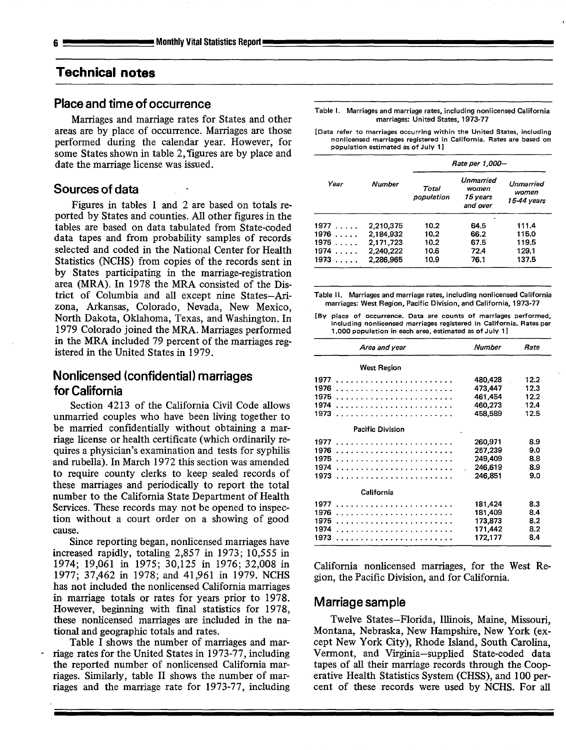# **Technical notes**

## **Place and time of occurrence**

Marriages and marriage rates for States and other areas are by place of occurrence. Marriages are those performed during the calendar year. However, for some States shown in table 2, figures are by place and date the marriage license was issued.

#### **Sources of data**

Figures in tables 1 and 2 are based on totals reported by States and counties. All other figures in the tables are based on data tabulated from State-coded data tapes and from probability samples of records selected and coded in the National Center for Health Statistics (NCHS) from copies of the records sent in by States participating in the marriage-registration area (MRA). In 1978 the MRA consisted of the District of Columbia and all except nine States–Arizona, Arkansas, Colorado, Nevada, New Mexico, North Dakota, Oklahoma, Texas, and Washington. In 1979 Colorado joined the MRA. Marriages performed in the MRA included 79 percent of the marriages registered in the United States in 1979.

## **Nonlicensed (confidential) marriages for California**

Section 4213 of the California Civil Code allows unmarried couples who have been living together to be married confidentially without obtaining a marriage license or health certificate (which ordinarily requires a physician's examination and tests for syphilis and rubella). In March 1972 this section was amended to require county clerks to keep sealed records of these marriages and periodically to report the total number to the California State Department of Health Services. These records may not be opened to inspection without a court order on a showing of good cause.

Since reporting began, nonlicensed marriages have increased rapidly, totaling 2,857 in 1973; 10,555 in 1974; 19,061 in 1975; 30,125 in 1976; 32,008 in 1977; 37,462 in 1978; and 41,961 in 1979. NCHS has not included the nonlicensed California marriages in marriage totals or rates for years prior to 1978. However, beginning with final statistics for 1978, these nonlicensed marriages are included in the national and geographic totals and rates.

Table I shows the number of marriages and mar riage rates for the United States in 1973-77, including the reported number of nonlicensed California marriages. Similarly, table II shows the number of marriages and the marriage rate for 1973-77, including **Table 1. Marriages and marriage rates, including nonlicensed California**  marriages: United States, 1973-77

**[Data refer to marriages occurring within the United Statas, including nonlicensed marriages registered in California. Rates are basad on population estimated as of July 1 ]** 

|               |               | Rate per 1,000-     |                                            |                                   |  |  |  |  |
|---------------|---------------|---------------------|--------------------------------------------|-----------------------------------|--|--|--|--|
| Year          | <b>Number</b> | Total<br>population | Unmarried<br>women<br>15 years<br>and over | Unmarried<br>women<br>15-44 years |  |  |  |  |
| 1977          | 2,210,375     | 10.2                | 64.5                                       | 111.4                             |  |  |  |  |
| $1976 \ldots$ | 2,184,932     | 10.2                | 66.2                                       | 115.0                             |  |  |  |  |
| 1975          | 2,171,723     | 10.2                | 67.5                                       | 119.5                             |  |  |  |  |
| 1974          | 2.240,222     | 10.6                | 72.4                                       | 129.1                             |  |  |  |  |
| 1973          | 2.286.965     | 10.9                | 76.1                                       | 137.5                             |  |  |  |  |

**Table 11. Marriages and marriage rates, including nonlicensed California marriages: West Region, Pacific Division, and California, 1973-77** 

**[By placa of occurrence. Data are counts of marriages parformed, including nonlicensed marriages registered in California. Ratas per 1,000 population in each area, eatimatad as of July 1 ]** 

| Area and year                | Number                                              | Rate                                 |
|------------------------------|-----------------------------------------------------|--------------------------------------|
| <b>West Region</b>           |                                                     |                                      |
| 1976<br>1975<br>1974<br>1973 | 480,428<br>473,447<br>461.454<br>460,273<br>458,589 | 12.2<br>12.3<br>12.2<br>12.4<br>12.5 |
| <b>Pacific Division</b>      |                                                     |                                      |
| 1977<br>1976<br>1975         | 260,971<br>257,239<br>249.409<br>246,619<br>246,851 | 8.9<br>9.0<br>88<br>8.9<br>9.0       |
| California                   |                                                     |                                      |
| 1976<br>1975<br>1974<br>1973 | 181,424<br>181,409<br>173,873<br>171,442<br>172,177 | 8.3<br>8.4<br>8.2<br>8.2<br>8.4      |

California nonlicensed marriages, for the West Region, the Pacific Division, and for California.

#### **Marriage sample**

Twelve States–Florida, Illinois, Maine, Missouri, Montana, Nebraska, New Hampshire, New York (except New York City), Rhode Island, South Carolina, Vermont, and Virginia-supplied State-coded data tapes of all their marriage records through the Cooperative Health Statistics System (CHSS), and 100 percent of these records were used by NCHS. For all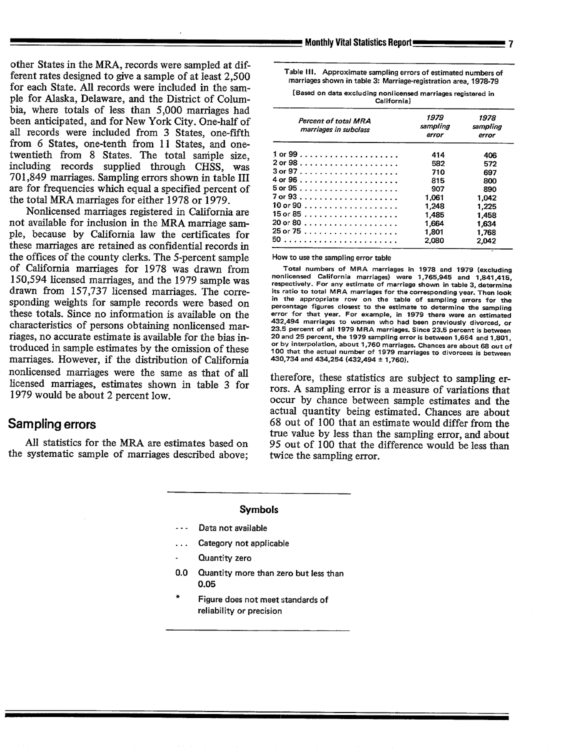other States in the MRA, records were sampled at different rates designed to give a sample of at least 2,500 for each State. AU records were included in the sample for Alaska, Delaware, and the District of Columbia, where totals of less than 5,000 marriages had been anticipated, and for New York City. One-half of all records were included from 3 States, one-fifth from 6 States, one-tenth from 11 States, and onetwentieth from 8 States. The total saniple size, including records supplied through CHSS, was 701,849 marriages. Sampling errors shown in table III are for frequencies which equal a specified percent of the total MRA marriages for either 1978 or 1979.

Nonlicensed marriages registered in California are not available for inclusion in the MRA marriage sample, because by California law the certificates for these marriages are retained as confidential records in the offices of the county clerks. The 5-percent sample of California marriages for 1978 was drawn from 150,594 licensed marriages, and the 1979 sample was drawn from 157,737 licensed marriages. The corresponding weights for sample records were based on these totals. Since no information is available on the characteristics of persons obtaining nonlicensed marriages, no accurate estimate is available for the bias introduced in sample estimates by the omission of these marriages. However, if the distribution of California nonlicensed marriages were the same as that of all licensed marriages, estimates shown in table 3 for 1979 would be about 2 percent low.

### **Sampling errors**

**All** statistics for the MRA are estimates based on the systematic sample of marriages described above; Table III. Approximate sampling errors of estimated numbers of **marriages shown in table 3: Marriage-registration area, 1978-79** 

| t Based on data excluding nonficensed marriages registered in |  |
|---------------------------------------------------------------|--|
| Californial                                                   |  |
|                                                               |  |

| Percent of total MRA<br>marriages in subclass        | 1979<br>sampling<br>error | 1978<br>sampling<br>error |
|------------------------------------------------------|---------------------------|---------------------------|
|                                                      | 414                       | 406                       |
|                                                      | 582                       | 572                       |
|                                                      | 710                       | 697                       |
|                                                      | 815                       | 800                       |
|                                                      | 907                       | 890                       |
|                                                      | 1.061                     | 1.042                     |
| $10$ or 90 $\dots \dots \dots \dots \dots \dots$     | 1.248                     | 1.225                     |
| 15 or 85 $\dots \dots \dots \dots \dots \dots \dots$ | 1.485                     | 1.458                     |
|                                                      | 1,664                     | 1.634                     |
|                                                      | 1,801                     | 1.768                     |
|                                                      | 2,080                     | 2,042                     |

**How** to use the sampling error table

Total numbers of MRA marriages in 1978 and 1979 (excluding nonlicensed California marriages) ware 1,765,945 and 1,841,415, respectively. For any estimate of marriage shown in table 3, determine its ratio to total MRA marriages for the corresponding year. Then look in tha appropriate row on the table of sampling errors for the percentage figures closest to the estimate to determine the sampling error for that year. For example, in 1979 there were an estimated 432,494 marriagas to women who had been previously divorced, or 23.5 percent of all 1979 MRA marriages. Since 23.5 percent is between 20 and 25 parcent, the 1979 sampling error is between 1,664 and 1,801, or by interpolation, about 1,760 marriagas. Chances are about 68 out of 100 that the actual number of 1979 marriages to divorcees is batween 430,734 and 434,254 (432,494 + 1,760).

therefore, these statistics are subject to sampling errors. A sampling error is a measure of variations that occur by chance between sample estimates and the actual quantity being estimated. Chances are about 68 out of 100 that an estimate would differ from the true value by less than the sampling error, and about 95 out of 100 that the difference would be less than twice the sampling error.

- **--- Data not available**
- **. . . Category not applicable**
- **Quantity zero**
- **0.0 Quantity more than zero but lessthan 0.05**
- **\* Figure does not meet :;tandards of reliability or precision**